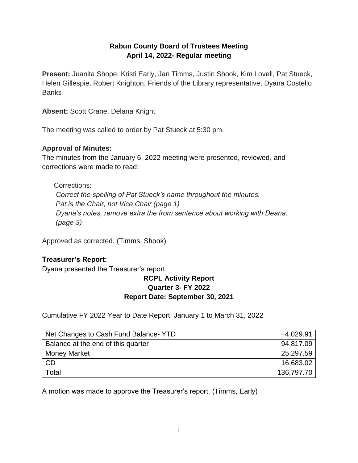# **Rabun County Board of Trustees Meeting April 14, 2022- Regular meeting**

**Present:** Juanita Shope, Kristi Early, Jan Timms, Justin Shook, Kim Lovell, Pat Stueck, Helen Gillespie, Robert Knighton, Friends of the Library representative, Dyana Costello **Banks** 

**Absent:** Scott Crane, Delana Knight

The meeting was called to order by Pat Stueck at 5:30 pm.

## **Approval of Minutes:**

The minutes from the January 6, 2022 meeting were presented, reviewed, and corrections were made to read:

Corrections: *Correct the spelling of Pat Stueck's name throughout the minutes. Pat is the Chair, not Vice Chair (page 1) Dyana's notes, remove extra the from sentence about working with Deana. (page 3)*

Approved as corrected. (Timms, Shook)

# **Treasurer's Report:**

Dyana presented the Treasurer's report.

## **RCPL Activity Report Quarter 3- FY 2022 Report Date: September 30, 2021**

Cumulative FY 2022 Year to Date Report: January 1 to March 31, 2022

| Net Changes to Cash Fund Balance- YTD | $+4,029.91$ |
|---------------------------------------|-------------|
| Balance at the end of this quarter    | 94,817.09   |
| <b>Money Market</b>                   | 25,297.59   |
| <b>CD</b>                             | 16,683.02   |
| Total                                 | 136,797.70  |

A motion was made to approve the Treasurer's report. (Timms, Early)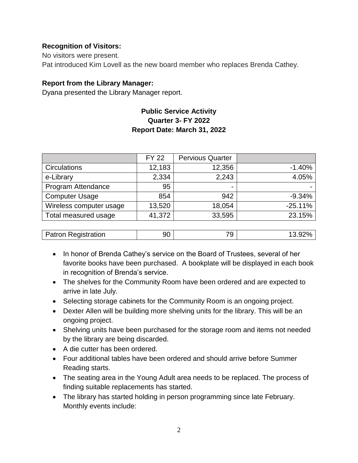## **Recognition of Visitors:**

No visitors were present. Pat introduced Kim Lovell as the new board member who replaces Brenda Cathey.

## **Report from the Library Manager:**

Dyana presented the Library Manager report.

# **Public Service Activity Quarter 3- FY 2022 Report Date: March 31, 2022**

|                            | <b>FY 22</b> | <b>Pervious Quarter</b> |           |
|----------------------------|--------------|-------------------------|-----------|
| <b>Circulations</b>        | 12,183       | 12,356                  | $-1.40%$  |
| e-Library                  | 2,334        | 2,243                   | 4.05%     |
| Program Attendance         | 95           | -                       |           |
| <b>Computer Usage</b>      | 854          | 942                     | $-9.34%$  |
| Wireless computer usage    | 13,520       | 18,054                  | $-25.11%$ |
| Total measured usage       | 41,372       | 33,595                  | 23.15%    |
|                            |              |                         |           |
| <b>Patron Registration</b> | 90           | 79                      | 13.92%    |

- In honor of Brenda Cathey's service on the Board of Trustees, several of her favorite books have been purchased. A bookplate will be displayed in each book in recognition of Brenda's service.
- The shelves for the Community Room have been ordered and are expected to arrive in late July.
- Selecting storage cabinets for the Community Room is an ongoing project.
- Dexter Allen will be building more shelving units for the library. This will be an ongoing project.
- Shelving units have been purchased for the storage room and items not needed by the library are being discarded.
- A die cutter has been ordered.
- Four additional tables have been ordered and should arrive before Summer Reading starts.
- The seating area in the Young Adult area needs to be replaced. The process of finding suitable replacements has started.
- The library has started holding in person programming since late February. Monthly events include: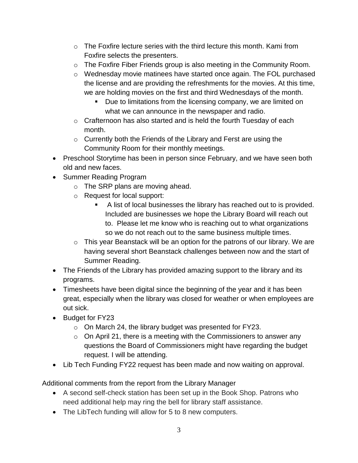- $\circ$  The Foxfire lecture series with the third lecture this month. Kami from Foxfire selects the presenters.
- o The Foxfire Fiber Friends group is also meeting in the Community Room.
- o Wednesday movie matinees have started once again. The FOL purchased the license and are providing the refreshments for the movies. At this time, we are holding movies on the first and third Wednesdays of the month.
	- Due to limitations from the licensing company, we are limited on what we can announce in the newspaper and radio.
- $\circ$  Crafternoon has also started and is held the fourth Tuesday of each month.
- $\circ$  Currently both the Friends of the Library and Ferst are using the Community Room for their monthly meetings.
- Preschool Storytime has been in person since February, and we have seen both old and new faces.
- Summer Reading Program
	- o The SRP plans are moving ahead.
	- o Request for local support:
		- A list of local businesses the library has reached out to is provided. Included are businesses we hope the Library Board will reach out to. Please let me know who is reaching out to what organizations so we do not reach out to the same business multiple times.
	- $\circ$  This year Beanstack will be an option for the patrons of our library. We are having several short Beanstack challenges between now and the start of Summer Reading.
- The Friends of the Library has provided amazing support to the library and its programs.
- Timesheets have been digital since the beginning of the year and it has been great, especially when the library was closed for weather or when employees are out sick.
- Budget for FY23
	- o On March 24, the library budget was presented for FY23.
	- $\circ$  On April 21, there is a meeting with the Commissioners to answer any questions the Board of Commissioners might have regarding the budget request. I will be attending.
- Lib Tech Funding FY22 request has been made and now waiting on approval.

Additional comments from the report from the Library Manager

- A second self-check station has been set up in the Book Shop. Patrons who need additional help may ring the bell for library staff assistance.
- The LibTech funding will allow for 5 to 8 new computers.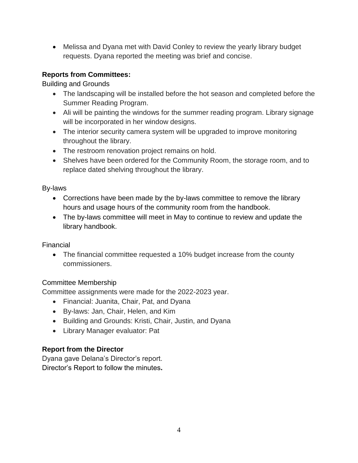• Melissa and Dyana met with David Conley to review the yearly library budget requests. Dyana reported the meeting was brief and concise.

# **Reports from Committees:**

Building and Grounds

- The landscaping will be installed before the hot season and completed before the Summer Reading Program.
- Ali will be painting the windows for the summer reading program. Library signage will be incorporated in her window designs.
- The interior security camera system will be upgraded to improve monitoring throughout the library.
- The restroom renovation project remains on hold.
- Shelves have been ordered for the Community Room, the storage room, and to replace dated shelving throughout the library.

By-laws

- Corrections have been made by the by-laws committee to remove the library hours and usage hours of the community room from the handbook.
- The by-laws committee will meet in May to continue to review and update the library handbook.

Financial

• The financial committee requested a 10% budget increase from the county commissioners.

# Committee Membership

Committee assignments were made for the 2022-2023 year.

- Financial: Juanita, Chair, Pat, and Dyana
- By-laws: Jan, Chair, Helen, and Kim
- Building and Grounds: Kristi, Chair, Justin, and Dyana
- Library Manager evaluator: Pat

# **Report from the Director**

Dyana gave Delana's Director's report. Director's Report to follow the minutes**.**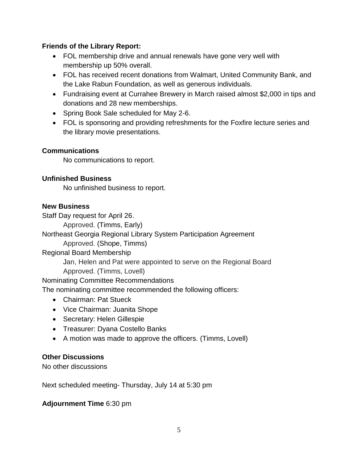## **Friends of the Library Report:**

- FOL membership drive and annual renewals have gone very well with membership up 50% overall.
- FOL has received recent donations from Walmart, United Community Bank, and the Lake Rabun Foundation, as well as generous individuals.
- Fundraising event at Currahee Brewery in March raised almost \$2,000 in tips and donations and 28 new memberships.
- Spring Book Sale scheduled for May 2-6.
- FOL is sponsoring and providing refreshments for the Foxfire lecture series and the library movie presentations.

#### **Communications**

No communications to report.

## **Unfinished Business**

No unfinished business to report.

#### **New Business**

Staff Day request for April 26.

Approved. (Timms, Early)

Northeast Georgia Regional Library System Participation Agreement

Approved. (Shope, Timms)

Regional Board Membership

Jan, Helen and Pat were appointed to serve on the Regional Board Approved. (Timms, Lovell)

Nominating Committee Recommendations

The nominating committee recommended the following officers:

- Chairman: Pat Stueck
- Vice Chairman: Juanita Shope
- Secretary: Helen Gillespie
- Treasurer: Dyana Costello Banks
- A motion was made to approve the officers. (Timms, Lovell)

#### **Other Discussions**

No other discussions

Next scheduled meeting- Thursday, July 14 at 5:30 pm

#### **Adjournment Time** 6:30 pm